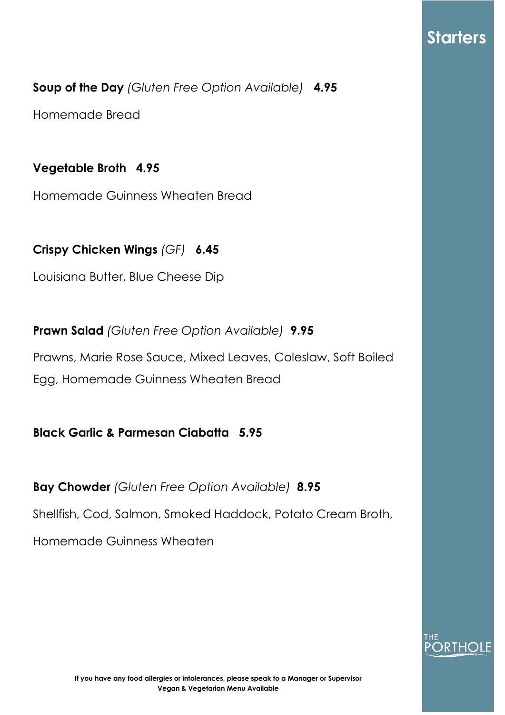### **Starters**

**Soup of the Day** *(Gluten Free Option Available)* **4.95**

Homemade Bread

#### **Vegetable Broth 4.95**

Homemade Guinness Wheaten Bread

#### **Crispy Chicken Wings** *(GF)* **6.45**

Louisiana Butter, Blue Cheese Dip

**Prawn Salad** *(Gluten Free Option Available)* **9.95**

Prawns, Marie Rose Sauce, Mixed Leaves, Coleslaw, Soft Boiled Egg, Homemade Guinness Wheaten Bread

#### **Black Garlic & Parmesan Ciabatta 5.95**

**Bay Chowder** *(Gluten Free Option Available)* **8.95** Shellfish, Cod, Salmon, Smoked Haddock, Potato Cream Broth, Homemade Guinness Wheaten

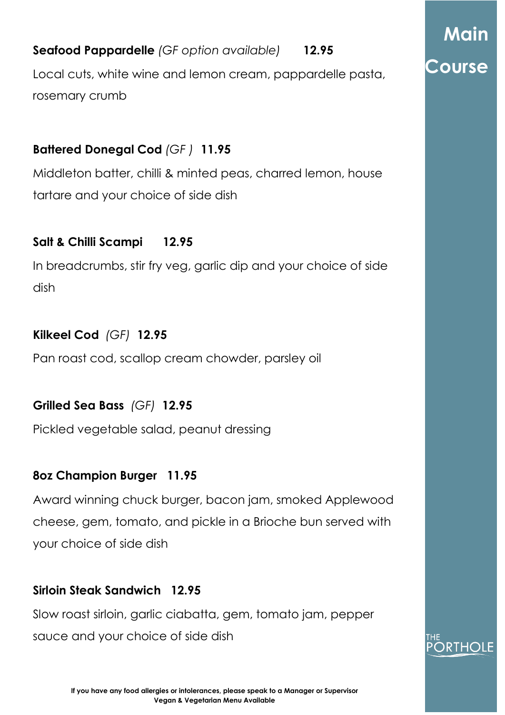# In breadcrumbs, stir fry veg, garlic dip and your choice of side

#### **Kilkeel Cod** *(GF)* **12.95**

dish

**Salt & Chilli Scampi 12.95**

Pan roast cod, scallop cream chowder, parsley oil

#### **Grilled Sea Bass** *(GF)* **12.95**

Pickled vegetable salad, peanut dressing

#### **8oz Champion Burger 11.95**

Award winning chuck burger, bacon jam, smoked Applewood cheese, gem, tomato, and pickle in a Brioche bun served with your choice of side dish

#### **Sirloin Steak Sandwich****12.95**

Slow roast sirloin, garlic ciabatta, gem, tomato jam, pepper sauce and your choice of side dish

#### **Seafood Pappardelle** *(GF option available)* **12.95**

Local cuts, white wine and lemon cream, pappardelle pasta, rosemary crumb

#### **Battered Donegal Cod** *(GF )* **11.95**

Middleton batter, chilli & minted peas, charred lemon, house tartare and your choice of side dish

**Main Course**